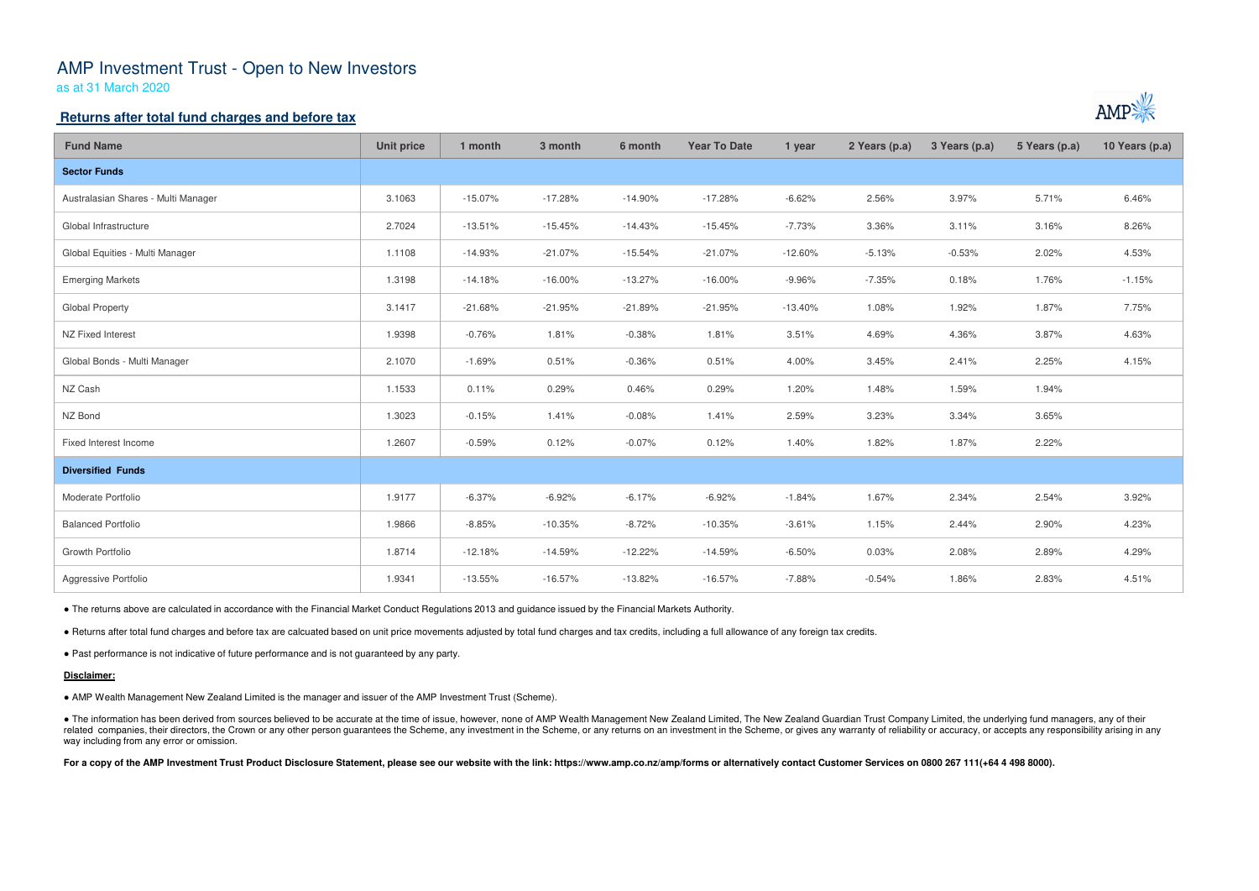# AMP Investment Trust - Open to New Investors

as at 31 March 2020

### **Returns after total fund charges and before tax**

| <b>Fund Name</b>                    | <b>Unit price</b> | 1 month    | 3 month    | 6 month   | <b>Year To Date</b> | 1 year    | 2 Years (p.a) | 3 Years (p.a) | 5 Years (p.a) | 10 Years (p.a) |
|-------------------------------------|-------------------|------------|------------|-----------|---------------------|-----------|---------------|---------------|---------------|----------------|
| <b>Sector Funds</b>                 |                   |            |            |           |                     |           |               |               |               |                |
| Australasian Shares - Multi Manager | 3.1063            | $-15.07\%$ | $-17.28%$  | $-14.90%$ | $-17.28%$           | $-6.62%$  | 2.56%         | 3.97%         | 5.71%         | 6.46%          |
| Global Infrastructure               | 2.7024            | $-13.51%$  | $-15.45%$  | $-14.43%$ | $-15.45%$           | $-7.73%$  | 3.36%         | 3.11%         | 3.16%         | 8.26%          |
| Global Equities - Multi Manager     | 1.1108            | $-14.93%$  | $-21.07%$  | $-15.54%$ | $-21.07%$           | $-12.60%$ | $-5.13%$      | $-0.53%$      | 2.02%         | 4.53%          |
| <b>Emerging Markets</b>             | 1.3198            | $-14.18%$  | $-16.00\%$ | $-13.27%$ | $-16.00\%$          | $-9.96%$  | $-7.35%$      | 0.18%         | 1.76%         | $-1.15%$       |
| <b>Global Property</b>              | 3.1417            | $-21.68%$  | $-21.95%$  | $-21.89%$ | $-21.95%$           | $-13.40%$ | 1.08%         | 1.92%         | 1.87%         | 7.75%          |
| NZ Fixed Interest                   | 1.9398            | $-0.76%$   | 1.81%      | $-0.38%$  | 1.81%               | 3.51%     | 4.69%         | 4.36%         | 3.87%         | 4.63%          |
| Global Bonds - Multi Manager        | 2.1070            | $-1.69%$   | 0.51%      | $-0.36%$  | 0.51%               | 4.00%     | 3.45%         | 2.41%         | 2.25%         | 4.15%          |
| NZ Cash                             | 1.1533            | 0.11%      | 0.29%      | 0.46%     | 0.29%               | 1.20%     | 1.48%         | 1.59%         | 1.94%         |                |
| NZ Bond                             | 1.3023            | $-0.15%$   | 1.41%      | $-0.08%$  | 1.41%               | 2.59%     | 3.23%         | 3.34%         | 3.65%         |                |
| Fixed Interest Income               | 1.2607            | $-0.59%$   | 0.12%      | $-0.07%$  | 0.12%               | 1.40%     | 1.82%         | 1.87%         | 2.22%         |                |
| <b>Diversified Funds</b>            |                   |            |            |           |                     |           |               |               |               |                |
| Moderate Portfolio                  | 1.9177            | $-6.37%$   | $-6.92%$   | $-6.17%$  | $-6.92%$            | $-1.84%$  | 1.67%         | 2.34%         | 2.54%         | 3.92%          |
| <b>Balanced Portfolio</b>           | 1.9866            | $-8.85%$   | $-10.35%$  | $-8.72%$  | $-10.35%$           | $-3.61%$  | 1.15%         | 2.44%         | 2.90%         | 4.23%          |
| Growth Portfolio                    | 1.8714            | $-12.18%$  | $-14.59%$  | $-12.22%$ | $-14.59%$           | $-6.50%$  | 0.03%         | 2.08%         | 2.89%         | 4.29%          |
| Aggressive Portfolio                | 1.9341            | $-13.55%$  | $-16.57%$  | $-13.82%$ | $-16.57\%$          | $-7.88%$  | $-0.54%$      | 1.86%         | 2.83%         | 4.51%          |

• The information has been derived from sources believed to be accurate at the time of issue, however, none of AMP Wealth Management New Zealand Limited, The New Zealand Guardian Trust Company Limited, the underlying fund related companies, their directors, the Crown or any other person guarantees the Scheme, any investment in the Scheme, or any returns on an investment in the Scheme, or gives any warranty of reliability or accuracy, or acc way including from any error or omission.

For a copy of the AMP Investment Trust Product Disclosure Statement, please see our website with the link: https://www.amp.co.nz/amp/forms or alternatively contact Customer Services on 0800 267 111(+64 4 498 8000).



● The returns above are calculated in accordance with the Financial Market Conduct Regulations 2013 and guidance issued by the Financial Markets Authority.

● Returns after total fund charges and before tax are calcuated based on unit price movements adjusted by total fund charges and tax credits, including a full allowance of any foreign tax credits.

● Past performance is not indicative of future performance and is not guaranteed by any party.

#### **Disclaimer:**

● AMP Wealth Management New Zealand Limited is the manager and issuer of the AMP Investment Trust (Scheme).